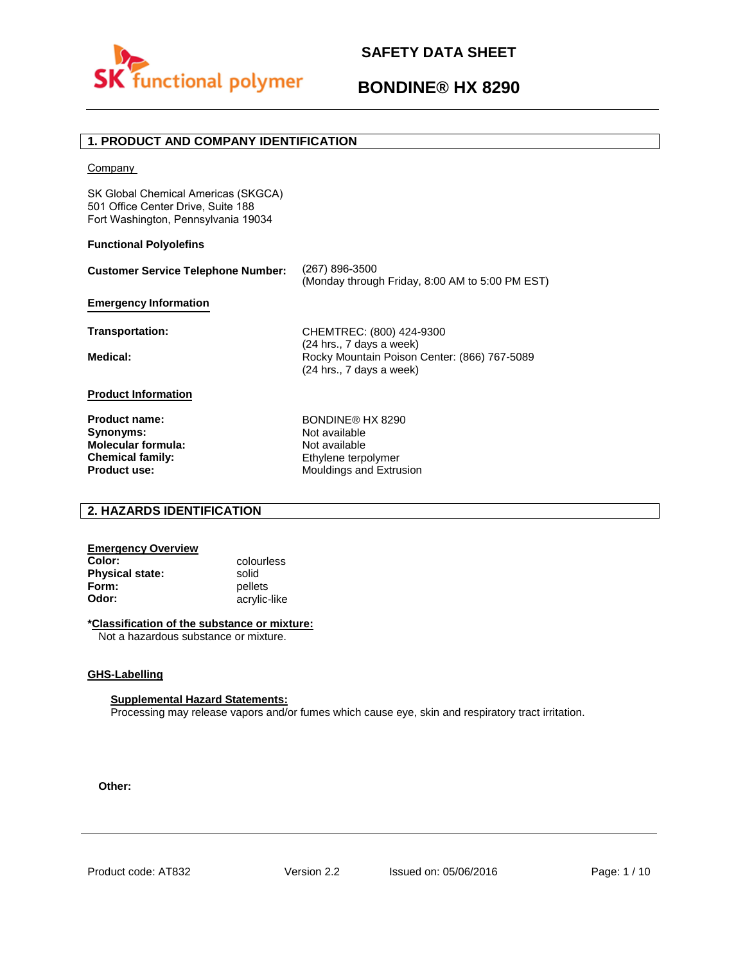

## **BONDINE® HX 8290**

#### **1. PRODUCT AND COMPANY IDENTIFICATION**

**Company** 

SK Global Chemical Americas (SKGCA) 501 Office Center Drive, Suite 188 Fort Washington, Pennsylvania 19034

#### **Functional Polyolefins**

| <b>Customer Service Telephone Number:</b>                         | (267) 896-3500<br>(Monday through Friday, 8:00 AM to 5:00 PM EST)        |
|-------------------------------------------------------------------|--------------------------------------------------------------------------|
| <b>Emergency Information</b>                                      |                                                                          |
| <b>Transportation:</b>                                            | CHEMTREC: (800) 424-9300<br>(24 hrs., 7 days a week)                     |
| Medical:                                                          | Rocky Mountain Poison Center: (866) 767-5089<br>(24 hrs., 7 days a week) |
| <b>Product Information</b>                                        |                                                                          |
| <b>Product name:</b><br>Synonyms:<br>بماريوه مديرة برماريم ململها | BONDINE® HX 8290<br>Not available<br>الملمائمين مفالح                    |

**Molecular formula: Chemical family: Product use:**

Not available Ethylene terpolymer Mouldings and Extrusion

#### **2. HAZARDS IDENTIFICATION**

## **Emergency Overview**

**Physical state:** solid<br> **Form:** pellet **Form:** pellets<br> **Odor:** acrylic-

**Color:** colourless **Odor:** acrylic-like

#### **\*Classification of the substance or mixture:**

Not a hazardous substance or mixture.

#### **GHS-Labelling**

#### **Supplemental Hazard Statements:**

Processing may release vapors and/or fumes which cause eye, skin and respiratory tract irritation.

**Other:**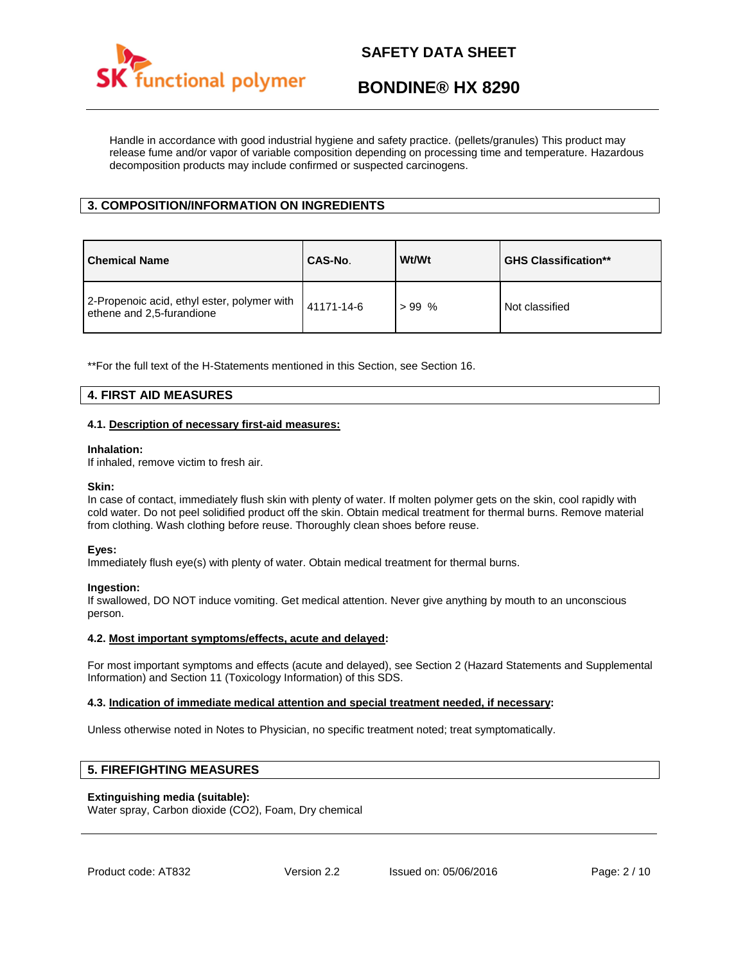

## **BONDINE® HX 8290**

Handle in accordance with good industrial hygiene and safety practice. (pellets/granules) This product may release fume and/or vapor of variable composition depending on processing time and temperature. Hazardous decomposition products may include confirmed or suspected carcinogens.

#### **3. COMPOSITION/INFORMATION ON INGREDIENTS**

| <b>Chemical Name</b>                                                     | CAS-No.    | Wt/Wt   | <b>GHS Classification**</b> |
|--------------------------------------------------------------------------|------------|---------|-----------------------------|
| 2-Propenoic acid, ethyl ester, polymer with<br>ethene and 2,5-furandione | 41171-14-6 | $>99\%$ | Not classified              |

\*\*For the full text of the H-Statements mentioned in this Section, see Section 16.

#### **4. FIRST AID MEASURES**

#### **4.1. Description of necessary first-aid measures:**

#### **Inhalation:**

If inhaled, remove victim to fresh air.

#### **Skin:**

In case of contact, immediately flush skin with plenty of water. If molten polymer gets on the skin, cool rapidly with cold water. Do not peel solidified product off the skin. Obtain medical treatment for thermal burns. Remove material from clothing. Wash clothing before reuse. Thoroughly clean shoes before reuse.

#### **Eyes:**

Immediately flush eye(s) with plenty of water. Obtain medical treatment for thermal burns.

#### **Ingestion:**

If swallowed, DO NOT induce vomiting. Get medical attention. Never give anything by mouth to an unconscious person.

#### **4.2. Most important symptoms/effects, acute and delayed:**

For most important symptoms and effects (acute and delayed), see Section 2 (Hazard Statements and Supplemental Information) and Section 11 (Toxicology Information) of this SDS.

#### **4.3. Indication of immediate medical attention and special treatment needed, if necessary:**

Unless otherwise noted in Notes to Physician, no specific treatment noted; treat symptomatically.

#### **5. FIREFIGHTING MEASURES**

#### **Extinguishing media (suitable):**

Water spray, Carbon dioxide (CO2), Foam, Dry chemical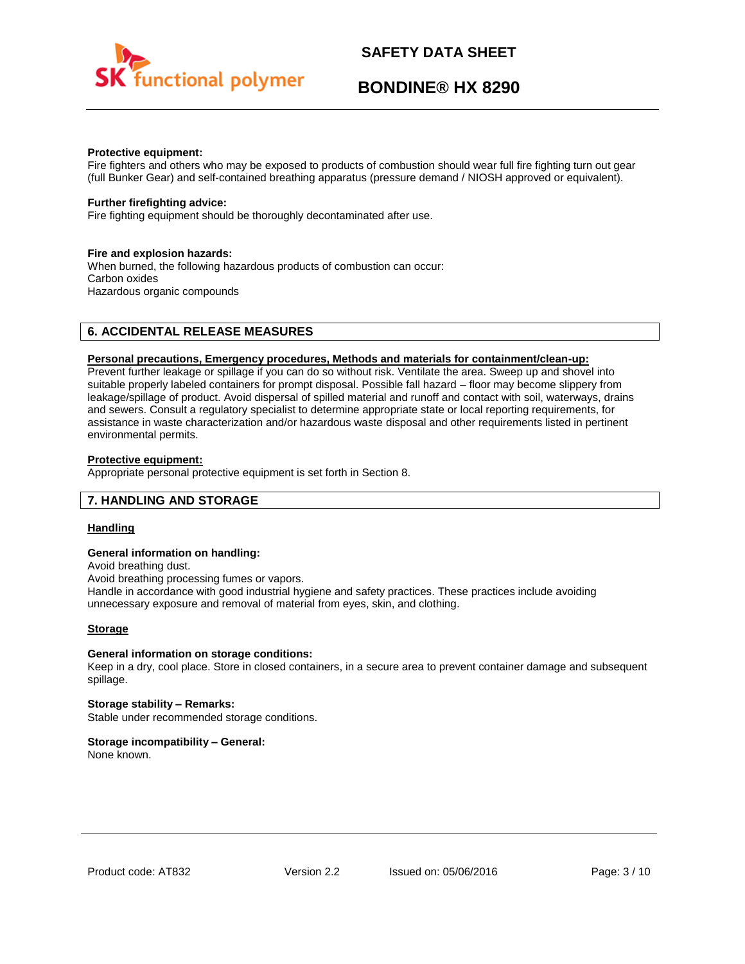

## **BONDINE® HX 8290**

#### **Protective equipment:**

Fire fighters and others who may be exposed to products of combustion should wear full fire fighting turn out gear (full Bunker Gear) and self-contained breathing apparatus (pressure demand / NIOSH approved or equivalent).

#### **Further firefighting advice:**

Fire fighting equipment should be thoroughly decontaminated after use.

#### **Fire and explosion hazards:**

When burned, the following hazardous products of combustion can occur: Carbon oxides Hazardous organic compounds

#### **6. ACCIDENTAL RELEASE MEASURES**

#### **Personal precautions, Emergency procedures, Methods and materials for containment/clean-up:**

Prevent further leakage or spillage if you can do so without risk. Ventilate the area. Sweep up and shovel into suitable properly labeled containers for prompt disposal. Possible fall hazard – floor may become slippery from leakage/spillage of product. Avoid dispersal of spilled material and runoff and contact with soil, waterways, drains and sewers. Consult a regulatory specialist to determine appropriate state or local reporting requirements, for assistance in waste characterization and/or hazardous waste disposal and other requirements listed in pertinent environmental permits.

#### **Protective equipment:**

Appropriate personal protective equipment is set forth in Section 8.

#### **7. HANDLING AND STORAGE**

#### **Handling**

#### **General information on handling:**

Avoid breathing dust.

Avoid breathing processing fumes or vapors.

Handle in accordance with good industrial hygiene and safety practices. These practices include avoiding unnecessary exposure and removal of material from eyes, skin, and clothing.

#### **Storage**

#### **General information on storage conditions:**

Keep in a dry, cool place. Store in closed containers, in a secure area to prevent container damage and subsequent spillage.

**Storage stability – Remarks:**  Stable under recommended storage conditions.

#### **Storage incompatibility – General:**

None known.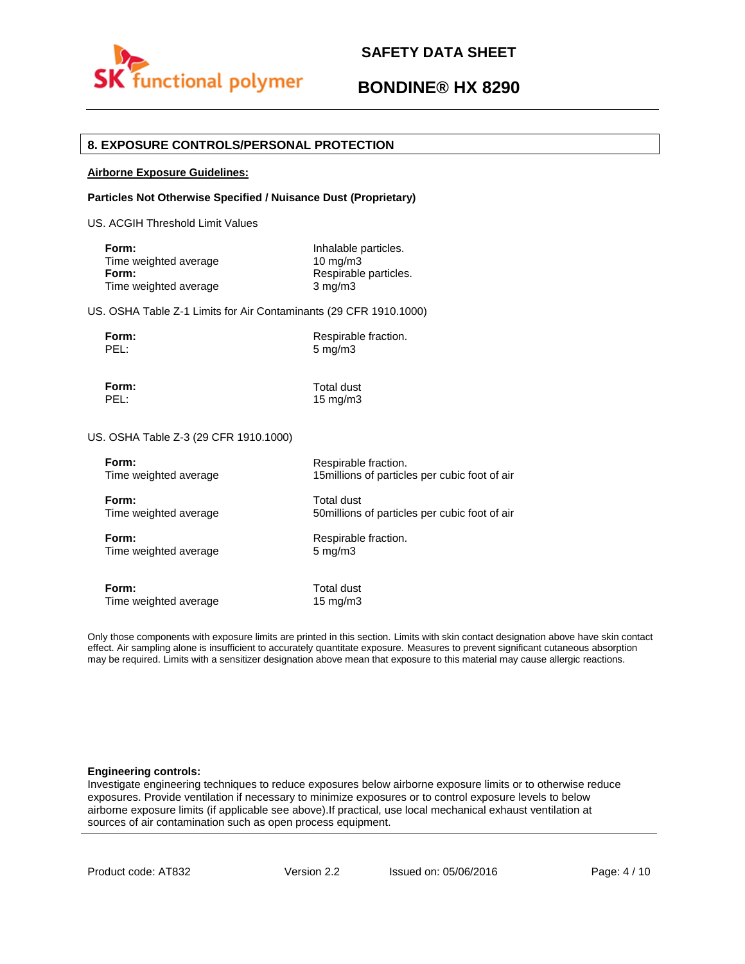

## **BONDINE® HX 8290**

#### **8. EXPOSURE CONTROLS/PERSONAL PROTECTION**

#### **Airborne Exposure Guidelines:**

#### **Particles Not Otherwise Specified / Nuisance Dust (Proprietary)**

US. ACGIH Threshold Limit Values

| Form:                 | Inhalable particles.  |
|-----------------------|-----------------------|
| Time weighted average | $10 \text{ ma/m}$ 3   |
| Form:                 | Respirable particles. |
| Time weighted average | $3 \text{ mg/m}$      |

US. OSHA Table Z-1 Limits for Air Contaminants (29 CFR 1910.1000)

**Form:** Respirable fraction.<br> **PEL:** 5 mg/m3  $5$  mg/m $3$ 

**Form:** Total dust

PEL: 15 mg/m3

#### US. OSHA Table Z-3 (29 CFR 1910.1000)

| Form:                 | Respirable fraction.                           |
|-----------------------|------------------------------------------------|
| Time weighted average | 15 millions of particles per cubic foot of air |
| Form:                 | Total dust                                     |
| Time weighted average | 50 millions of particles per cubic foot of air |
| Form:                 | Respirable fraction.                           |
| Time weighted average | $5 \text{ mg/m}$                               |
| Form:                 | Total dust                                     |
| Time weighted average | $15 \text{ mg/m}$                              |

Only those components with exposure limits are printed in this section. Limits with skin contact designation above have skin contact effect. Air sampling alone is insufficient to accurately quantitate exposure. Measures to prevent significant cutaneous absorption may be required. Limits with a sensitizer designation above mean that exposure to this material may cause allergic reactions.

#### **Engineering controls:**

Investigate engineering techniques to reduce exposures below airborne exposure limits or to otherwise reduce exposures. Provide ventilation if necessary to minimize exposures or to control exposure levels to below airborne exposure limits (if applicable see above).If practical, use local mechanical exhaust ventilation at sources of air contamination such as open process equipment.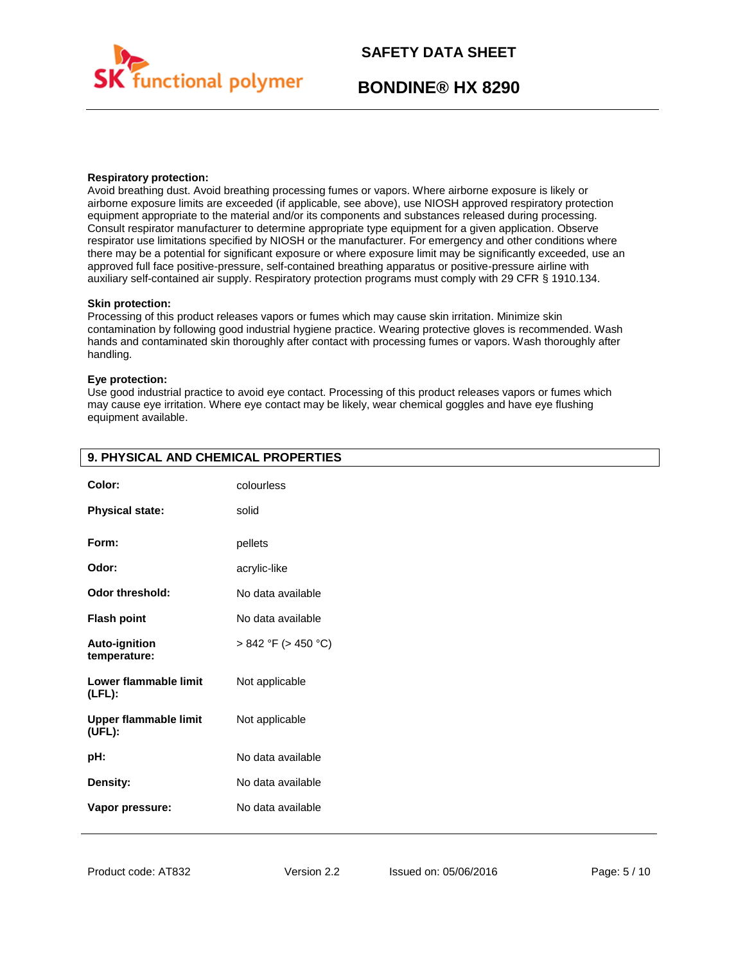

## **BONDINE® HX 8290**

#### **Respiratory protection:**

Avoid breathing dust. Avoid breathing processing fumes or vapors. Where airborne exposure is likely or airborne exposure limits are exceeded (if applicable, see above), use NIOSH approved respiratory protection equipment appropriate to the material and/or its components and substances released during processing. Consult respirator manufacturer to determine appropriate type equipment for a given application. Observe respirator use limitations specified by NIOSH or the manufacturer. For emergency and other conditions where there may be a potential for significant exposure or where exposure limit may be significantly exceeded, use an approved full face positive-pressure, self-contained breathing apparatus or positive-pressure airline with auxiliary self-contained air supply. Respiratory protection programs must comply with 29 CFR § 1910.134.

#### **Skin protection:**

Processing of this product releases vapors or fumes which may cause skin irritation. Minimize skin contamination by following good industrial hygiene practice. Wearing protective gloves is recommended. Wash hands and contaminated skin thoroughly after contact with processing fumes or vapors. Wash thoroughly after handling.

#### **Eye protection:**

Use good industrial practice to avoid eye contact. Processing of this product releases vapors or fumes which may cause eye irritation. Where eye contact may be likely, wear chemical goggles and have eye flushing equipment available.

| Color:                                 | colourless               |
|----------------------------------------|--------------------------|
| <b>Physical state:</b>                 | solid                    |
| Form:                                  | pellets                  |
| Odor:                                  | acrylic-like             |
| Odor threshold:                        | No data available        |
| <b>Flash point</b>                     | No data available        |
| <b>Auto-ignition</b><br>temperature:   | $> 842$ °F ( $> 450$ °C) |
| Lower flammable limit<br>$(LFL)$ :     | Not applicable           |
| <b>Upper flammable limit</b><br>(UEL): | Not applicable           |
| pH:                                    | No data available        |
| Density:                               | No data available        |
| Vapor pressure:                        | No data available        |

#### **9. PHYSICAL AND CHEMICAL PROPERTIES**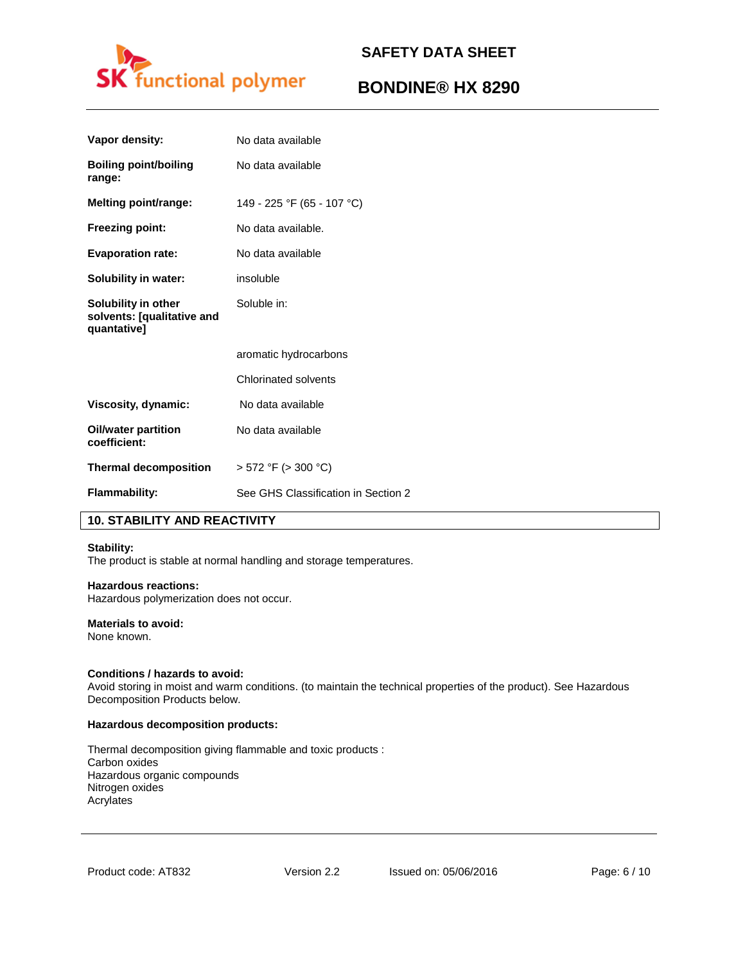

## **BONDINE® HX 8290**

| No data available                   |
|-------------------------------------|
| No data available                   |
| 149 - 225 °F (65 - 107 °C)          |
| No data available.                  |
| No data available                   |
| insoluble                           |
| Soluble in:                         |
| aromatic hydrocarbons               |
| Chlorinated solvents                |
| No data available                   |
| No data available                   |
| $>$ 572 °F ( $>$ 300 °C)            |
| See GHS Classification in Section 2 |
|                                     |

#### **10. STABILITY AND REACTIVITY**

#### **Stability:**

The product is stable at normal handling and storage temperatures.

#### **Hazardous reactions:**

Hazardous polymerization does not occur.

#### **Materials to avoid:**

None known.

#### **Conditions / hazards to avoid:**

Avoid storing in moist and warm conditions. (to maintain the technical properties of the product). See Hazardous Decomposition Products below.

#### **Hazardous decomposition products:**

Thermal decomposition giving flammable and toxic products : Carbon oxides Hazardous organic compounds Nitrogen oxides Acrylates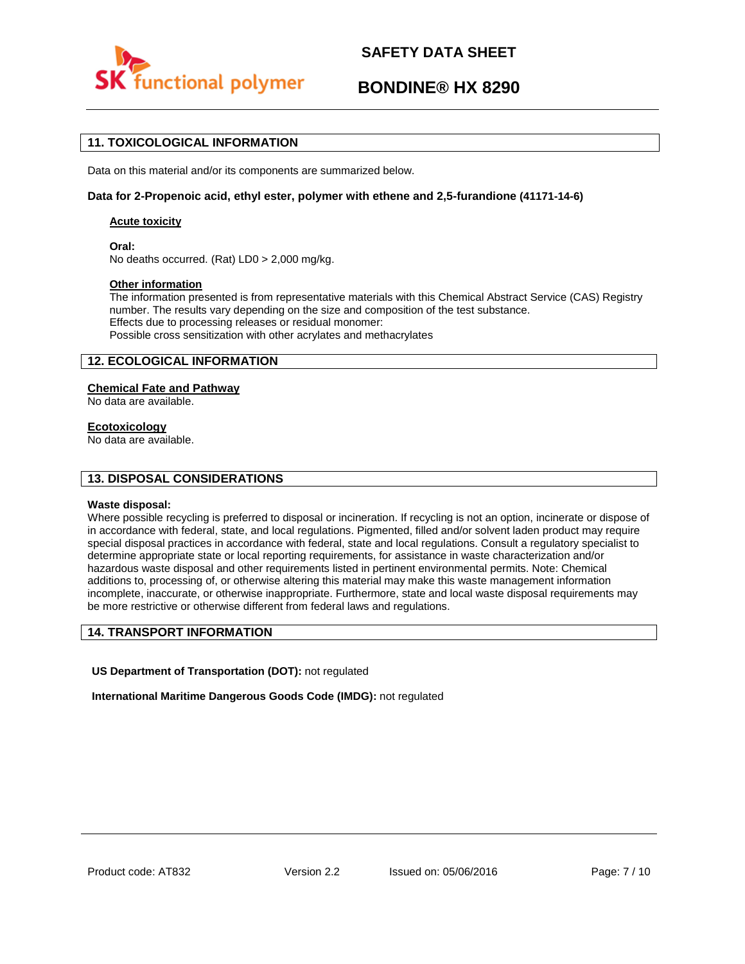

## **BONDINE® HX 8290**

#### **11. TOXICOLOGICAL INFORMATION**

Data on this material and/or its components are summarized below.

#### **Data for 2-Propenoic acid, ethyl ester, polymer with ethene and 2,5-furandione (41171-14-6)**

#### **Acute toxicity**

**Oral:**

No deaths occurred. (Rat) LD0 > 2,000 mg/kg.

#### **Other information**

The information presented is from representative materials with this Chemical Abstract Service (CAS) Registry number. The results vary depending on the size and composition of the test substance. Effects due to processing releases or residual monomer: Possible cross sensitization with other acrylates and methacrylates

#### **12. ECOLOGICAL INFORMATION**

#### **Chemical Fate and Pathway**

No data are available.

#### **Ecotoxicology**

No data are available.

#### **13. DISPOSAL CONSIDERATIONS**

#### **Waste disposal:**

Where possible recycling is preferred to disposal or incineration. If recycling is not an option, incinerate or dispose of in accordance with federal, state, and local regulations. Pigmented, filled and/or solvent laden product may require special disposal practices in accordance with federal, state and local regulations. Consult a regulatory specialist to determine appropriate state or local reporting requirements, for assistance in waste characterization and/or hazardous waste disposal and other requirements listed in pertinent environmental permits. Note: Chemical additions to, processing of, or otherwise altering this material may make this waste management information incomplete, inaccurate, or otherwise inappropriate. Furthermore, state and local waste disposal requirements may be more restrictive or otherwise different from federal laws and regulations.

#### **14. TRANSPORT INFORMATION**

**US Department of Transportation (DOT):** not regulated

**International Maritime Dangerous Goods Code (IMDG):** not regulated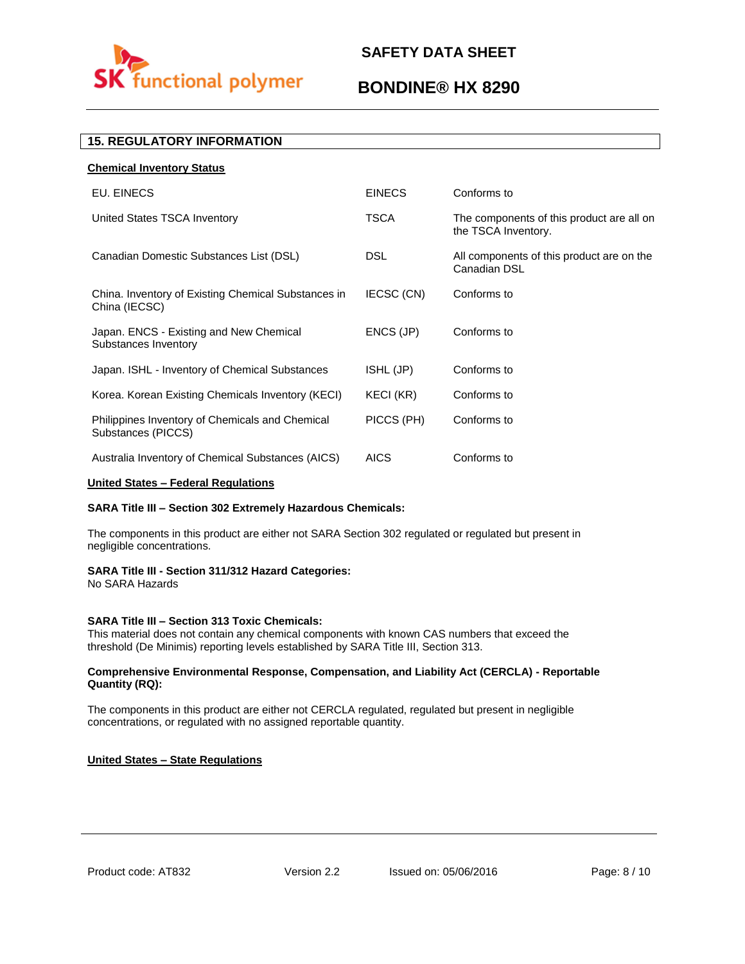# functional polymer

## **SAFETY DATA SHEET**

## **BONDINE® HX 8290**

#### **15. REGULATORY INFORMATION**

| <b>Chemical Inventory Status</b>                                      |               |                                                                  |
|-----------------------------------------------------------------------|---------------|------------------------------------------------------------------|
| EU. EINECS                                                            | <b>EINECS</b> | Conforms to                                                      |
| United States TSCA Inventory                                          | <b>TSCA</b>   | The components of this product are all on<br>the TSCA Inventory. |
| Canadian Domestic Substances List (DSL)                               | <b>DSL</b>    | All components of this product are on the<br>Canadian DSL        |
| China. Inventory of Existing Chemical Substances in<br>China (IECSC)  | IECSC (CN)    | Conforms to                                                      |
| Japan. ENCS - Existing and New Chemical<br>Substances Inventory       | ENCS (JP)     | Conforms to                                                      |
| Japan. ISHL - Inventory of Chemical Substances                        | ISHL (JP)     | Conforms to                                                      |
| Korea. Korean Existing Chemicals Inventory (KECI)                     | KECI (KR)     | Conforms to                                                      |
| Philippines Inventory of Chemicals and Chemical<br>Substances (PICCS) | PICCS (PH)    | Conforms to                                                      |
| Australia Inventory of Chemical Substances (AICS)                     | <b>AICS</b>   | Conforms to                                                      |

#### **United States – Federal Regulations**

#### **SARA Title III – Section 302 Extremely Hazardous Chemicals:**

The components in this product are either not SARA Section 302 regulated or regulated but present in negligible concentrations.

#### **SARA Title III - Section 311/312 Hazard Categories:**

No SARA Hazards

#### **SARA Title III – Section 313 Toxic Chemicals:**

This material does not contain any chemical components with known CAS numbers that exceed the threshold (De Minimis) reporting levels established by SARA Title III, Section 313.

#### **Comprehensive Environmental Response, Compensation, and Liability Act (CERCLA) - Reportable Quantity (RQ):**

The components in this product are either not CERCLA regulated, regulated but present in negligible concentrations, or regulated with no assigned reportable quantity.

#### **United States – State Regulations**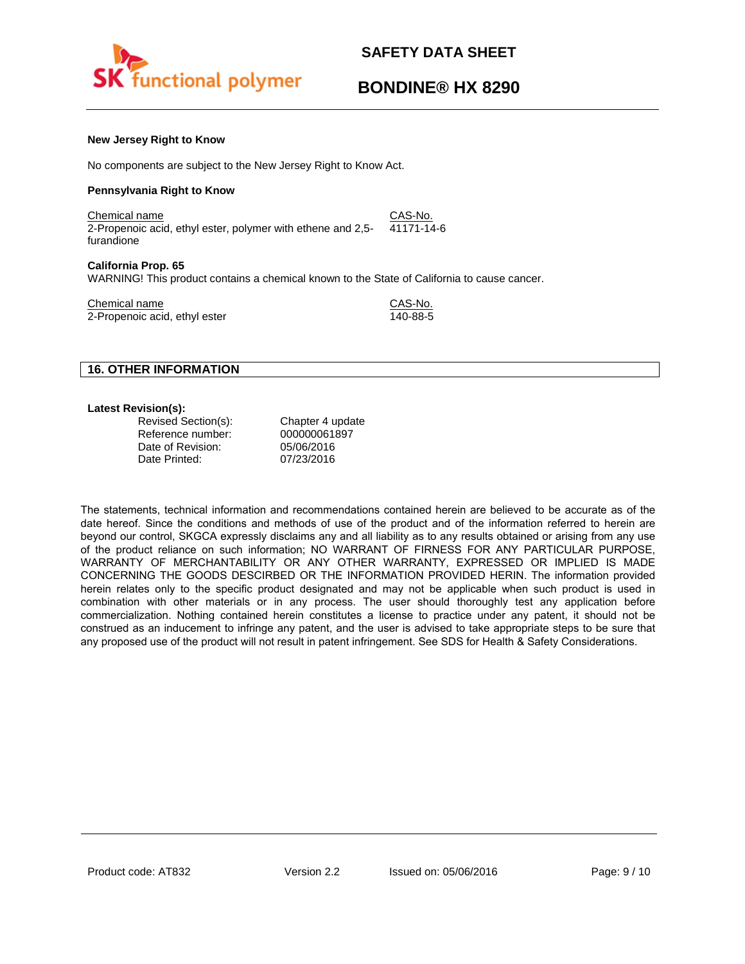

## **BONDINE® HX 8290**

#### **New Jersey Right to Know**

No components are subject to the New Jersey Right to Know Act.

#### **Pennsylvania Right to Know**

Chemical name CAS-No. 2-Propenoic acid, ethyl ester, polymer with ethene and 2,5 furandione 41171-14-6

#### **California Prop. 65**

WARNING! This product contains a chemical known to the State of California to cause cancer.

Chemical name<br>
2-Propenoic acid. ethyl ester<br>
2-Propenoic acid. ethyl ester 2-Propenoic acid, ethyl ester

#### **16. OTHER INFORMATION**

#### **Latest Revision(s):**

| Revised Section(s): | Chapter 4 update |
|---------------------|------------------|
| Reference number:   | 000000061897     |
| Date of Revision:   | 05/06/2016       |
| Date Printed:       | 07/23/2016       |

The statements, technical information and recommendations contained herein are believed to be accurate as of the date hereof. Since the conditions and methods of use of the product and of the information referred to herein are beyond our control, SKGCA expressly disclaims any and all liability as to any results obtained or arising from any use of the product reliance on such information; NO WARRANT OF FIRNESS FOR ANY PARTICULAR PURPOSE, WARRANTY OF MERCHANTABILITY OR ANY OTHER WARRANTY, EXPRESSED OR IMPLIED IS MADE CONCERNING THE GOODS DESCIRBED OR THE INFORMATION PROVIDED HERIN. The information provided herein relates only to the specific product designated and may not be applicable when such product is used in combination with other materials or in any process. The user should thoroughly test any application before commercialization. Nothing contained herein constitutes a license to practice under any patent, it should not be construed as an inducement to infringe any patent, and the user is advised to take appropriate steps to be sure that any proposed use of the product will not result in patent infringement. See SDS for Health & Safety Considerations.